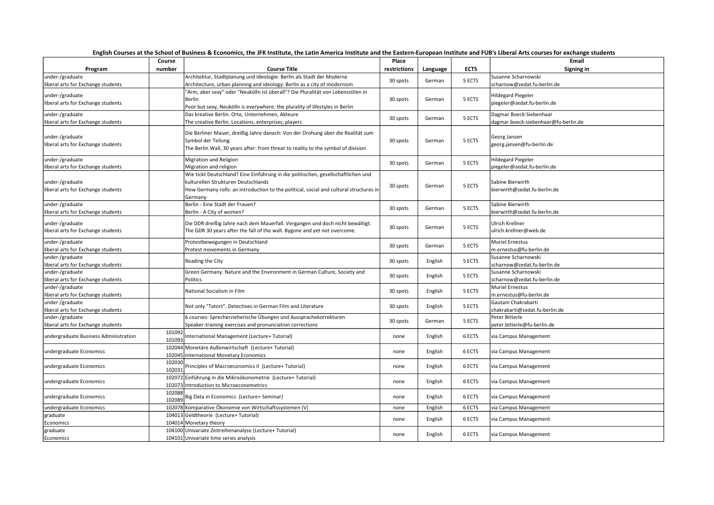| English Courses at the School of Business & Economics, the JFK Institute, the Latin America Institute and the Eastern-European Institute and FUB's Liberal Arts courses for exchange students |                  |                                                                                                                                                                                                                               |              |          |             |                                                                 |  |
|-----------------------------------------------------------------------------------------------------------------------------------------------------------------------------------------------|------------------|-------------------------------------------------------------------------------------------------------------------------------------------------------------------------------------------------------------------------------|--------------|----------|-------------|-----------------------------------------------------------------|--|
|                                                                                                                                                                                               | Course           |                                                                                                                                                                                                                               | Place        |          |             | Email                                                           |  |
| Program                                                                                                                                                                                       | number           | <b>Course Title</b>                                                                                                                                                                                                           | restrictions | Language | <b>ECTS</b> | Signing in                                                      |  |
| under-/graduate<br>liberal arts for Exchange students                                                                                                                                         |                  | Architektur, Stadtplanung und Ideologie: Berlin als Stadt der Moderne<br>Architecture, urban planning and ideology: Berlin as a city of modernism                                                                             | 30 spots     | German   | 5 ECTS      | Susanne Scharnowski<br>scharnow@zedat.fu-berlin.de              |  |
| under-/graduate<br>liberal arts for Exchange students                                                                                                                                         |                  | 'Arm, aber sexy" oder "Neukölln ist überall"? Die Pluralität von Lebensstilen in<br>Berlin<br>Poor but sexy, Neukölln is everywhere: the plurality of lifestyles in Berlin                                                    | 30 spots     | German   | 5 ECTS      | Hildegard Piegeler<br>piegeler@zedat.fu-berlin.de               |  |
| under-/graduate<br>liberal arts for Exchange students                                                                                                                                         |                  | Das kreative Berlin. Orte, Unternehmen, Akteure<br>The creative Berlin. Locations, enterprises, players                                                                                                                       | 30 spots     | German   | 5 ECTS      | Dagmar Boeck-Siebenhaar<br>dagmar.boeck-siebenhaar@fu-berlin.de |  |
| under-/graduate<br>liberal arts for Exchange students                                                                                                                                         |                  | Die Berliner Mauer, dreißig Jahre danach: Von der Drohung über die Realität zum<br>Symbol der Teilung<br>The Berlin Wall, 30 years after: from threat to reality to the symbol of division                                    | 30 spots     | German   | 5 ECTS      | Georg Jansen<br>georg.jansen@fu-berlin.de                       |  |
| under-/graduate<br>liberal arts for Exchange students                                                                                                                                         |                  | Migration und Religion<br>Migration and religion                                                                                                                                                                              | 30 spots     | German   | 5 ECTS      | <b>Hildegard Piegeler</b><br>piegeler@zedat.fu-berlin.de        |  |
| under-/graduate<br>liberal arts for Exchange students                                                                                                                                         |                  | Wie tickt Deutschland? Eine Einführung in die politischen, gesellschaftlichen und<br>kulturellen Strukturen Deutschlands<br>How Germany rolls: an introduction to the political, social and cultural structures in<br>Germany | 30 spots     | German   | 5 ECTS      | Sabine Bierwirth<br>bierwirth@zedat.fu-berlin.de                |  |
| under-/graduate<br>liberal arts for Exchange students                                                                                                                                         |                  | Berlin - Eine Stadt der Frauen?<br>Berlin - A City of women?                                                                                                                                                                  | 30 spots     | German   | 5 ECTS      | Sabine Bierwirth<br>bierwirth@zedat.fu-berlin.de                |  |
| under-/graduate<br>liberal arts for Exchange students                                                                                                                                         |                  | Die DDR dreißig Jahre nach dem Mauerfall. Vergangen und doch nicht bewältigt.<br>The GDR 30 years after the fall of the wall. Bygone and yet not overcome.                                                                    | 30 spots     | German   | 5 ECTS      | Ulrich Krellner<br>ulrich.krellner@web.de                       |  |
| under-/graduate<br>liberal arts for Exchange students                                                                                                                                         |                  | Protestbewegungen in Deutschland<br>Protest movements in Germany                                                                                                                                                              | 30 spots     | German   | 5 ECTS      | <b>Muriel Ernestus</b><br>m.ernestus@fu-berlin.de               |  |
| under-/graduate<br>liberal arts for Exchange students                                                                                                                                         |                  | Reading the City                                                                                                                                                                                                              | 30 spots     | English  | 5 ECTS      | Susanne Scharnowski<br>scharnow@zedat.fu-berlin.de              |  |
| under-/graduate<br>liberal arts for Exchange students                                                                                                                                         |                  | Green Germany. Nature and the Environment in German Culture, Society and<br>Politics                                                                                                                                          | 30 spots     | English  | 5 ECTS      | Susanne Scharnowski<br>scharnow@zedat.fu-berlin.de              |  |
| under-/graduate<br>liberal arts for Exchange students                                                                                                                                         |                  | National Socialism in Film                                                                                                                                                                                                    | 30 spots     | English  | 5 ECTS      | Muriel Ernestus<br>m.ernestus@fu-berlin.de                      |  |
| under-/graduate<br>liberal arts for Exchange students                                                                                                                                         |                  | Not only "Tatort". Detectives in German Film and Literature                                                                                                                                                                   | 30 spots     | English  | 5 ECTS      | Gautam Chakrabarti<br>chakrabarti@zedat.fu-berlin.de            |  |
| under-/graduate<br>liberal arts for Exchange students                                                                                                                                         |                  | 6 courses: Sprecherzieherische Übungen und Aussprachekorrekturen<br>Speaker-training exercises and pronunciation corrections                                                                                                  | 30 spots     | German   | 5 ECTS      | Peter Bitterle<br>peter.bitterle@fu-berlin.de                   |  |
| undergraduate Business Administration                                                                                                                                                         | 101092<br>101093 | nternational Management (Lecture+ Tutorial)                                                                                                                                                                                   | none         | English  | 6 ECTS      | via Campus Management                                           |  |
| undergraduate Economics                                                                                                                                                                       |                  | 102044 Monetäre Außenwirtschaft (Lecture+ Tutorial)<br>102045 International Monetary Economics                                                                                                                                | none         | English  | 6 ECTS      | via Campus Management                                           |  |
| undergraduate Economics                                                                                                                                                                       | 102030<br>102031 | Principles of Macroeconomics II (Lecture+ Tutorial)                                                                                                                                                                           | none         | English  | 6 ECTS      | via Campus Management                                           |  |
| undergraduate Economics                                                                                                                                                                       |                  | 102072 Einführung in die Mikroökonometrie (Lecture+ Tutorial)<br>102073 Introduction to Microeconometrics                                                                                                                     | none         | English  | 6 ECTS      | via Campus Management                                           |  |
| undergraduate Economics                                                                                                                                                                       | 102088<br>102089 | Big Data in Economics (Lecture+ Seminar)                                                                                                                                                                                      | none         | English  | 6 ECTS      | via Campus Management                                           |  |
| undergraduate Economics                                                                                                                                                                       | 102078           | Komparative Ökonomie von Wirtschaftssystemen (V)                                                                                                                                                                              | none         | English  | 6 ECTS      | via Campus Management                                           |  |
| graduate<br>Economics                                                                                                                                                                         |                  | 104013 Geldtheorie (Lecture+ Tutorial)<br>104014 Monetary theory                                                                                                                                                              | none         | English  | 6 ECTS      | via Campus Management                                           |  |
| graduate<br>Economics                                                                                                                                                                         |                  | 104100 Univariate Zeitreihenanalyse (Lecture+ Tutorial)<br>104101 Univariate time series analysis                                                                                                                             | none         | English  | 6 ECTS      | via Campus Management                                           |  |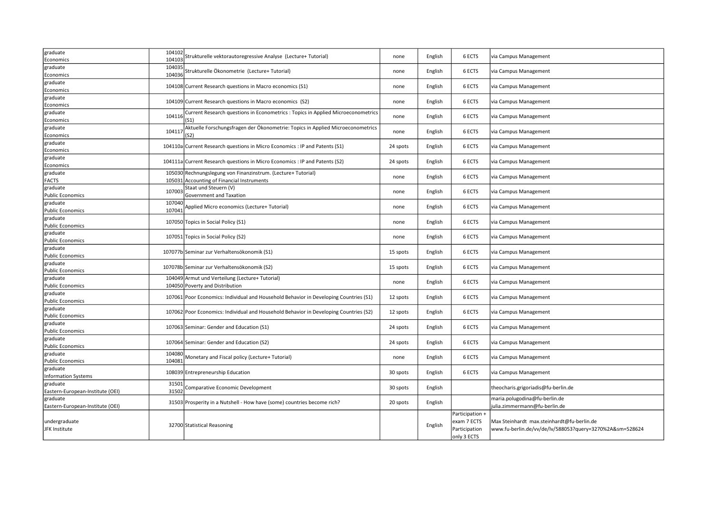| graduate                               | 104102<br>104103 | Strukturelle vektorautoregressive Analyse (Lecture+ Tutorial)                           | none     | English | 6 ECTS                                                         | via Campus Management                                                                                  |
|----------------------------------------|------------------|-----------------------------------------------------------------------------------------|----------|---------|----------------------------------------------------------------|--------------------------------------------------------------------------------------------------------|
| Economics<br>graduate                  | 10403            |                                                                                         |          |         |                                                                |                                                                                                        |
| Economics                              | 104036           | Strukturelle Ökonometrie (Lecture+ Tutorial)                                            | none     | English | 6 ECTS                                                         | via Campus Management                                                                                  |
| graduate                               |                  |                                                                                         |          |         | 6 ECTS                                                         |                                                                                                        |
| Economics                              |                  | 104108 Current Research questions in Macro economics (S1)                               | none     | English |                                                                | via Campus Management                                                                                  |
| graduate                               |                  | 104109 Current Research questions in Macro economics (S2)                               | none     | English | 6 ECTS                                                         | via Campus Management                                                                                  |
| Economics                              |                  |                                                                                         |          |         |                                                                |                                                                                                        |
| graduate<br>Economics                  | 104116           | Current Research questions in Econometrics : Topics in Applied Microeconometrics<br>S1) | none     | English | 6 ECTS                                                         | via Campus Management                                                                                  |
| graduate                               |                  | Aktuelle Forschungsfragen der Ökonometrie: Topics in Applied Microeconometrics          |          |         |                                                                |                                                                                                        |
| Economics                              | 10411            | S2)                                                                                     | none     | English | 6 ECTS                                                         | via Campus Management                                                                                  |
| graduate                               |                  |                                                                                         |          |         | 6 ECTS                                                         |                                                                                                        |
| Economics                              |                  | 104110a Current Research questions in Micro Economics : IP and Patents (S1)             | 24 spots | English |                                                                | via Campus Management                                                                                  |
| graduate                               |                  | 104111a Current Research questions in Micro Economics : IP and Patents (S2)             | 24 spots | English | 6 ECTS                                                         | via Campus Management                                                                                  |
| Economics                              |                  |                                                                                         |          |         |                                                                |                                                                                                        |
| graduate                               |                  | 105030 Rechnungslegung von Finanzinstrum. (Lecture+ Tutorial)                           | none     | English | 6 ECTS                                                         | via Campus Management                                                                                  |
| FACTS<br>graduate                      |                  | 105031 Accounting of Financial Instruments<br>Staat und Steuern (V)                     |          |         |                                                                |                                                                                                        |
| <b>Public Economics</b>                | 107003           | Government and Taxation                                                                 | none     | English | 6 ECTS                                                         | via Campus Management                                                                                  |
| graduate                               | 107040           |                                                                                         |          |         |                                                                |                                                                                                        |
| <b>Public Economics</b>                | 107041           | Applied Micro economics (Lecture+ Tutorial)                                             | none     | English | 6 ECTS                                                         | via Campus Management                                                                                  |
| graduate                               |                  | 107050 Topics in Social Policy (S1)                                                     | none     | English | 6 ECTS                                                         | via Campus Management                                                                                  |
| <b>Public Economics</b>                |                  |                                                                                         |          |         |                                                                |                                                                                                        |
| graduate<br><b>Public Economics</b>    |                  | 107051 Topics in Social Policy (S2)                                                     | none     | English | 6 ECTS                                                         | via Campus Management                                                                                  |
| graduate<br><b>Public Economics</b>    |                  | 107077b Seminar zur Verhaltensökonomik (S1)                                             | 15 spots | English | 6 ECTS                                                         | via Campus Management                                                                                  |
| graduate                               |                  | 107078b Seminar zur Verhaltensökonomik (S2)                                             | 15 spots | English | 6 ECTS                                                         | via Campus Management                                                                                  |
| Public Economics<br>graduate           |                  | 104049 Armut und Verteilung (Lecture+ Tutorial)                                         |          |         |                                                                |                                                                                                        |
| <b>Public Economics</b>                |                  | 104050 Poverty and Distribution                                                         | none     | English | 6 ECTS                                                         | via Campus Management                                                                                  |
| graduate                               |                  |                                                                                         |          |         |                                                                |                                                                                                        |
| <b>Public Economics</b>                |                  | 107061 Poor Economics: Individual and Household Behavior in Developing Countries (S1)   | 12 spots | English | 6 ECTS                                                         | via Campus Management                                                                                  |
| graduate                               |                  | 107062 Poor Economics: Individual and Household Behavior in Developing Countries (S2)   | 12 spots | English | 6 ECTS                                                         | via Campus Management                                                                                  |
| <b>Public Economics</b>                |                  |                                                                                         |          |         |                                                                |                                                                                                        |
| graduate                               |                  | 107063 Seminar: Gender and Education (S1)                                               | 24 spots | English | 6 ECTS                                                         | via Campus Management                                                                                  |
| <b>Public Economics</b><br>graduate    |                  |                                                                                         |          |         |                                                                |                                                                                                        |
| <b>Public Economics</b>                |                  | 107064 Seminar: Gender and Education (S2)                                               | 24 spots | English | 6 ECTS                                                         | via Campus Management                                                                                  |
| graduate                               | 104080           |                                                                                         |          |         |                                                                |                                                                                                        |
| <b>Public Economics</b>                | 104081           | Monetary and Fiscal policy (Lecture+ Tutorial)                                          | none     | English | 6 ECTS                                                         | via Campus Management                                                                                  |
| graduate<br><b>Information Systems</b> |                  | 108039 Entrepreneurship Education                                                       | 30 spots | English | 6 ECTS                                                         | via Campus Management                                                                                  |
| graduate                               | 31501            |                                                                                         |          |         |                                                                |                                                                                                        |
| Eastern-European-Institute (OEI)       | 31502            | Comparative Economic Development                                                        | 30 spots | English |                                                                | theocharis.grigoriadis@fu-berlin.de                                                                    |
| graduate                               |                  |                                                                                         |          |         |                                                                | maria.polugodina@fu-berlin.de                                                                          |
| Eastern-European-Institute (OEI)       |                  | 31503 Prosperity in a Nutshell - How have (some) countries become rich?                 | 20 spots | English |                                                                | julia.zimmermann@fu-berlin.de                                                                          |
| undergraduate<br>JFK Institute         |                  | 32700 Statistical Reasoning                                                             |          | English | Participation +<br>exam 7 ECTS<br>Participation<br>only 3 ECTS | Max Steinhardt max.steinhardt@fu-berlin.de<br>www.fu-berlin.de/vv/de/lv/588053?query=3270%2A&sm=528624 |